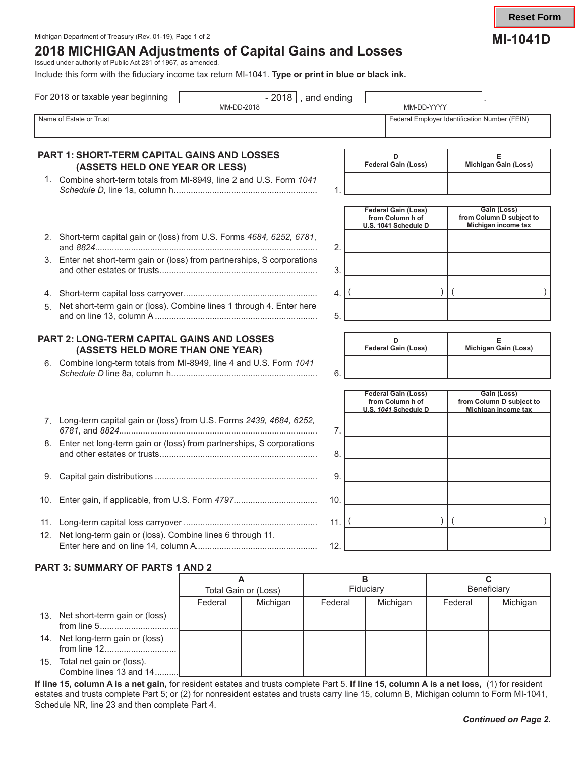# Michigan Department of Treasury (Rev. 01-19), Page 1 of 2 **MICHIGAN Department of Treasury (Rev. 01-1**9), Page 1 of 2 **MI-1041D 2018 MICHIGAN Adjustments of Capital Gains and Losses**

Issued under authority of Public Act 281 of 1967, as amended.

Include this form with the fiduciary income tax return MI-1041. **Type or print in blue or black ink.**

|    | For 2018 or taxable year beginning                                             | <b>MM-DD-2018</b> |                      | $-2018$ , and ending | MM-DD-YYYY                                                             |         |                                                                |
|----|--------------------------------------------------------------------------------|-------------------|----------------------|----------------------|------------------------------------------------------------------------|---------|----------------------------------------------------------------|
|    | Name of Estate or Trust                                                        |                   |                      |                      |                                                                        |         | Federal Employer Identification Number (FEIN)                  |
|    | PART 1: SHORT-TERM CAPITAL GAINS AND LOSSES<br>(ASSETS HELD ONE YEAR OR LESS)  |                   |                      |                      | D<br><b>Federal Gain (Loss)</b>                                        |         | Е<br>Michigan Gain (Loss)                                      |
|    | 1. Combine short-term totals from MI-8949, line 2 and U.S. Form 1041           |                   |                      | 1.                   |                                                                        |         |                                                                |
|    |                                                                                |                   |                      |                      | <b>Federal Gain (Loss)</b><br>from Column h of<br>U.S. 1041 Schedule D |         | Gain (Loss)<br>from Column D subject to<br>Michigan income tax |
|    | 2. Short-term capital gain or (loss) from U.S. Forms 4684, 6252, 6781,         |                   |                      | 2.                   |                                                                        |         |                                                                |
|    | 3. Enter net short-term gain or (loss) from partnerships, S corporations       |                   |                      | 3.                   |                                                                        |         |                                                                |
|    |                                                                                |                   |                      | 4.                   |                                                                        |         |                                                                |
| 5. | Net short-term gain or (loss). Combine lines 1 through 4. Enter here           |                   |                      | 5.                   |                                                                        |         |                                                                |
|    | PART 2: LONG-TERM CAPITAL GAINS AND LOSSES<br>(ASSETS HELD MORE THAN ONE YEAR) |                   |                      |                      | D<br><b>Federal Gain (Loss)</b>                                        |         | Е<br>Michigan Gain (Loss)                                      |
|    | 6. Combine long-term totals from MI-8949, line 4 and U.S. Form 1041            |                   |                      | 6.                   |                                                                        |         |                                                                |
|    |                                                                                |                   |                      |                      | <b>Federal Gain (Loss)</b><br>from Column h of<br>U.S. 1041 Schedule D |         | Gain (Loss)<br>from Column D subject to<br>Michigan income tax |
|    | 7. Long-term capital gain or (loss) from U.S. Forms 2439, 4684, 6252,          |                   |                      | 7.                   |                                                                        |         |                                                                |
|    | 8. Enter net long-term gain or (loss) from partnerships, S corporations        |                   |                      | 8.                   |                                                                        |         |                                                                |
| 9. |                                                                                |                   |                      | 9.                   |                                                                        |         |                                                                |
|    | 10. Enter gain, if applicable, from U.S. Form 4797                             |                   |                      | 10.                  |                                                                        |         |                                                                |
|    |                                                                                |                   |                      | 11.                  |                                                                        |         |                                                                |
|    | 12. Net long-term gain or (loss). Combine lines 6 through 11.                  |                   |                      | 12.                  |                                                                        |         |                                                                |
|    | PART 3: SUMMARY OF PARTS 1 AND 2                                               |                   |                      |                      |                                                                        |         |                                                                |
|    |                                                                                |                   | A                    |                      | B                                                                      |         | $\mathbf{C}$                                                   |
|    |                                                                                |                   | Total Gain or (Loss) |                      | Fiduciary                                                              |         | Beneficiary                                                    |
|    | 13. Net short-term gain or (loss)                                              | Federal           | Michigan             | Federal              | Michigan                                                               | Federal | Michigan                                                       |
|    | from line 5                                                                    |                   |                      |                      |                                                                        |         |                                                                |

- 14. Net long-term gain or (loss) from line 12..............................
- 15. Total net gain or (loss). Combine lines 13 and 14..........

**If line 15, column A is a net gain,** for resident estates and trusts complete Part 5. **If line 15, column A is a net loss,** (1) for resident estates and trusts complete Part 5; or (2) for nonresident estates and trusts carry line 15, column B, Michigan column to Form MI-1041, Schedule NR, line 23 and then complete Part 4.

**Reset Form**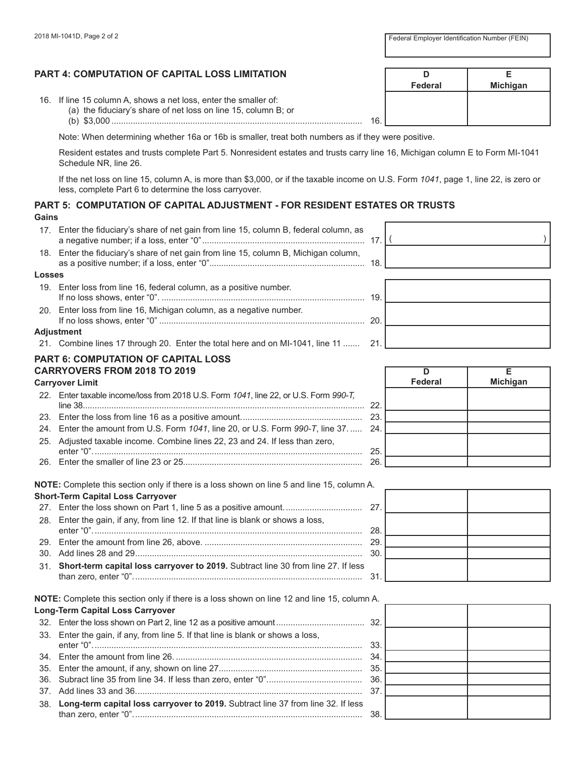**Federal Michigan**

# **PART 4: COMPUTATION OF CAPITAL LOSS LIMITATION D E**

16. If line 15 column A, shows a net loss, enter the smaller of:

- (a) the fiduciary's share of net loss on line 15, column B; or
- (b) \$3,000 ......................................................................................................... 16.

Note: When determining whether 16a or 16b is smaller, treat both numbers as if they were positive.

Resident estates and trusts complete Part 5. Nonresident estates and trusts carry line 16, Michigan column E to Form MI-1041 Schedule NR, line 26.

If the net loss on line 15, column A, is more than \$3,000, or if the taxable income on U.S. Form *1041*, page 1, line 22, is zero or less, complete Part 6 to determine the loss carryover.

#### **PART 5: COMPUTATION OF CAPITAL ADJUSTMENT - FOR RESIDENT ESTATES OR TRUSTS Gains**

17. Enter the fiduciary's share of net gain from line 15, column B, federal column, as a negative number; if a loss, enter "0".................................................................... 17. ( ) 18. Enter the fiduciary's share of net gain from line 15, column B, Michigan column,

as a positive number; if a loss, enter "0"................................................................. 18.

#### **Losses**

19. Enter loss from line 16, federal column, as a positive number. If no loss shows, enter "0". ..................................................................................... 19. 20. Enter loss from line 16, Michigan column, as a negative number.

#### **Adjustment**

21. Combine lines 17 through 20. Enter the total here and on MI-1041, line 11 ....... 21.

If no loss shows, enter "0" ...................................................................................... 20.

#### **PART 6: COMPUTATION OF CAPITAL LOSS CARRYOVERS FROM 2018 TO 2019**

# **Carryover Limit**

|  | 22. Enter taxable income/loss from 2018 U.S. Form 1041, line 22, or U.S. Form 990-T. |  |
|--|--------------------------------------------------------------------------------------|--|
|  |                                                                                      |  |
|  |                                                                                      |  |
|  | 24. Enter the amount from U.S. Form 1041, line 20, or U.S. Form 990-T, line 37 24.   |  |
|  | 25. Adjusted taxable income. Combine lines 22, 23 and 24. If less than zero,         |  |
|  |                                                                                      |  |
|  |                                                                                      |  |
|  |                                                                                      |  |

**NOTE:** Complete this section only if there is a loss shown on line 5 and line 15, column A. **Short-Term Capital Loss Carryover**

|  | 28. Enter the gain, if any, from line 12. If that line is blank or shows a loss,      |  |
|--|---------------------------------------------------------------------------------------|--|
|  |                                                                                       |  |
|  |                                                                                       |  |
|  |                                                                                       |  |
|  | 31. Short-term capital loss carryover to 2019. Subtract line 30 from line 27. If less |  |
|  |                                                                                       |  |

| <b>Long-Term Capital Loss Carryover</b>                                              |  |
|--------------------------------------------------------------------------------------|--|
|                                                                                      |  |
| 33. Enter the gain, if any, from line 5. If that line is blank or shows a loss,      |  |
|                                                                                      |  |
|                                                                                      |  |
|                                                                                      |  |
|                                                                                      |  |
| 38. Long-term capital loss carryover to 2019. Subtract line 37 from line 32. If less |  |
|                                                                                      |  |

| ٠ |  |
|---|--|
| ٠ |  |
| ٠ |  |

|           | <b>Federal</b> | E<br>Michigan |
|-----------|----------------|---------------|
| 2.        |                |               |
| 3         |                |               |
| 4.        |                |               |
| 5.        |                |               |
| $\hat{5}$ |                |               |

| 27.                     |  |
|-------------------------|--|
| 28.                     |  |
| ο.<br>80.               |  |
|                         |  |
| $\overline{\mathbf{3}}$ |  |

|     | NOTE: Complete this section only if there is a loss shown on line 12 and line 15, column A. |     |  |  |  |  |  |  |  |  |
|-----|---------------------------------------------------------------------------------------------|-----|--|--|--|--|--|--|--|--|
|     | <b>Long-Term Capital Loss Carryover</b>                                                     |     |  |  |  |  |  |  |  |  |
|     |                                                                                             |     |  |  |  |  |  |  |  |  |
|     | 33. Enter the gain, if any, from line 5. If that line is blank or shows a loss,             | 33. |  |  |  |  |  |  |  |  |
|     |                                                                                             | 34. |  |  |  |  |  |  |  |  |
|     |                                                                                             |     |  |  |  |  |  |  |  |  |
|     |                                                                                             |     |  |  |  |  |  |  |  |  |
|     |                                                                                             | 37  |  |  |  |  |  |  |  |  |
| 38. | Long-term capital loss carryover to 2019. Subtract line 37 from line 32. If less            |     |  |  |  |  |  |  |  |  |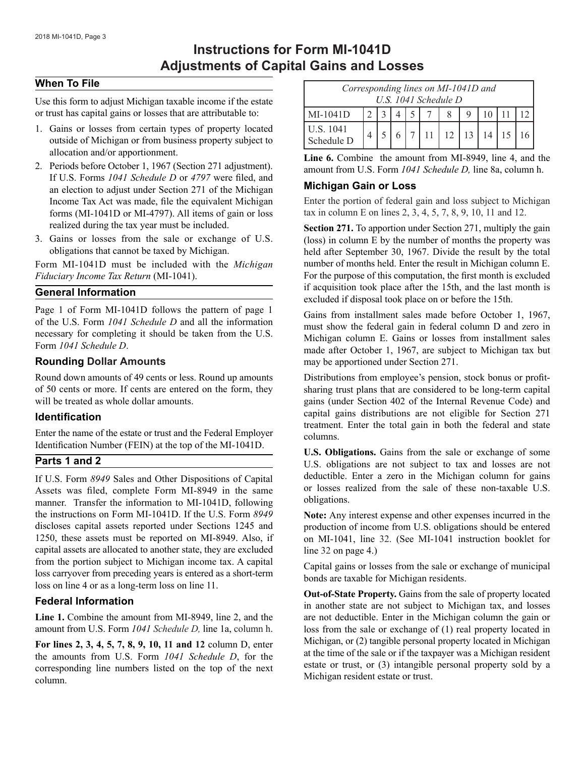# **Instructions for Form MI-1041D Adjustments of Capital Gains and Losses**

#### **When To File**

Use this form to adjust Michigan taxable income if the estate or trust has capital gains or losses that are attributable to:

- 1. Gains or losses from certain types of property located outside of Michigan or from business property subject to allocation and/or apportionment.
- 2. Periods before October 1, 1967 (Section 271 adjustment). If U.S. Forms *1041 Schedule D* or *4797* were filed, and an election to adjust under Section 271 of the Michigan Income Tax Act was made, file the equivalent Michigan forms (MI-1041D or MI-4797). All items of gain or loss realized during the tax year must be included.
- 3. Gains or losses from the sale or exchange of U.S. obligations that cannot be taxed by Michigan.

Form MI-1041D must be included with the *Michigan Fiduciary Income Tax Return* (MI-1041).

#### **General Information**

Page 1 of Form MI-1041D follows the pattern of page 1 of the U.S. Form *1041 Schedule D* and all the information necessary for completing it should be taken from the U.S. Form *1041 Schedule D*.

#### **Rounding Dollar Amounts**

Round down amounts of 49 cents or less. Round up amounts of 50 cents or more. If cents are entered on the form, they will be treated as whole dollar amounts.

#### **Identification**

Enter the name of the estate or trust and the Federal Employer Identification Number (FEIN) at the top of the MI-1041D.

#### **Parts 1 and 2**

If U.S. Form *8949* Sales and Other Dispositions of Capital Assets was filed, complete Form MI-8949 in the same manner. Transfer the information to MI-1041D, following the instructions on Form MI-1041D. If the U.S. Form *8949*  discloses capital assets reported under Sections 1245 and 1250, these assets must be reported on MI-8949. Also, if capital assets are allocated to another state, they are excluded from the portion subject to Michigan income tax. A capital loss carryover from preceding years is entered as a short-term loss on line 4 or as a long-term loss on line 11.

#### **Federal Information**

**Line 1.** Combine the amount from MI-8949, line 2, and the amount from U.S. Form *1041 Schedule D,* line 1a, column h.

**For lines 2, 3, 4, 5, 7, 8, 9, 10, 11 and 12** column D, enter the amounts from U.S. Form *1041 Schedule D*, for the corresponding line numbers listed on the top of the next column.

| Corresponding lines on MI-1041D and |  |  |  |  |  |                |  |    |  |
|-------------------------------------|--|--|--|--|--|----------------|--|----|--|
| U.S. 1041 Schedule D                |  |  |  |  |  |                |  |    |  |
| $MI-1041D$                          |  |  |  |  |  |                |  |    |  |
| U.S. 1041<br>Schedule D             |  |  |  |  |  | $11$   12   13 |  | 14 |  |

**Line 6.** Combine the amount from MI-8949, line 4, and the amount from U.S. Form *1041 Schedule D,* line 8a, column h.

# **Michigan Gain or Loss**

Enter the portion of federal gain and loss subject to Michigan tax in column E on lines 2, 3, 4, 5, 7, 8, 9, 10, 11 and 12.

**Section 271.** To apportion under Section 271, multiply the gain (loss) in column E by the number of months the property was held after September 30, 1967. Divide the result by the total number of months held. Enter the result in Michigan column E. For the purpose of this computation, the first month is excluded if acquisition took place after the 15th, and the last month is excluded if disposal took place on or before the 15th.

Gains from installment sales made before October 1, 1967, must show the federal gain in federal column D and zero in Michigan column E. Gains or losses from installment sales made after October 1, 1967, are subject to Michigan tax but may be apportioned under Section 271.

Distributions from employee's pension, stock bonus or profitsharing trust plans that are considered to be long-term capital gains (under Section 402 of the Internal Revenue Code) and capital gains distributions are not eligible for Section 271 treatment. Enter the total gain in both the federal and state columns.

**U.S. Obligations.** Gains from the sale or exchange of some U.S. obligations are not subject to tax and losses are not deductible. Enter a zero in the Michigan column for gains or losses realized from the sale of these non-taxable U.S. obligations.

**Note:** Any interest expense and other expenses incurred in the production of income from U.S. obligations should be entered on MI-1041, line 32. (See MI-1041 instruction booklet for line 32 on page 4.)

Capital gains or losses from the sale or exchange of municipal bonds are taxable for Michigan residents.

**Out-of-State Property.** Gains from the sale of property located in another state are not subject to Michigan tax, and losses are not deductible. Enter in the Michigan column the gain or loss from the sale or exchange of (1) real property located in Michigan, or (2) tangible personal property located in Michigan at the time of the sale or if the taxpayer was a Michigan resident estate or trust, or (3) intangible personal property sold by a Michigan resident estate or trust.